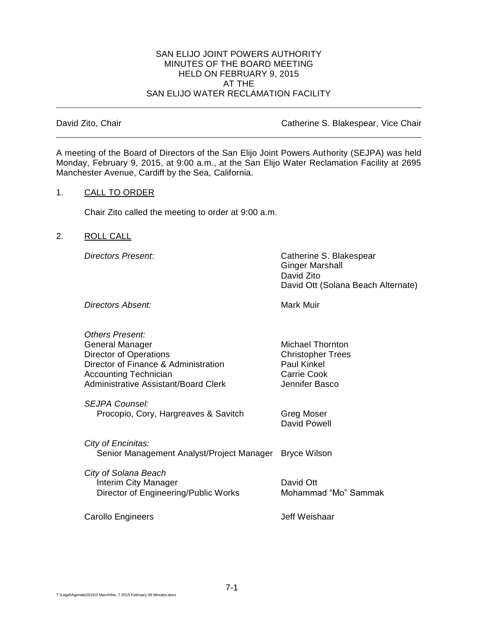#### SAN ELIJO JOINT POWERS AUTHORITY MINUTES OF THE BOARD MEETING HELD ON FEBRUARY 9, 2015 AT THE SAN ELIJO WATER RECLAMATION FACILITY

David Zito, Chair Catherine S. Blakespear, Vice Chair

A meeting of the Board of Directors of the San Elijo Joint Powers Authority (SEJPA) was held Monday, February 9, 2015, at 9:00 a.m., at the San Elijo Water Reclamation Facility at 2695 Manchester Avenue, Cardiff by the Sea, California.

#### 1. CALL TO ORDER

Chair Zito called the meeting to order at 9:00 a.m.

## 2. ROLL CALL

*Directors Present*: Catherine S. Blakespear Ginger Marshall David Zito David Ott (Solana Beach Alternate)

**Directors Absent:** Mark Muir

*Others Present:* General Manager Michael Thornton Director of Operations **Christopher Trees** Director of Finance & Administration Paul Kinkel Accounting Technician **Carrie Cook** Carrie Cook Administrative Assistant/Board Clerk **Jennifer Basco** 

*SEJPA Counsel:* Procopio, Cory, Hargreaves & Savitch Greg Moser

David Powell

*City of Encinitas:* Senior Management Analyst/Project Manager Bryce Wilson

*City of Solana Beach* Interim City Manager **David Ott** Director of Engineering/Public Works Mohammad "Mo" Sammak

Carollo Engineers **Carollo Engineers** Jeff Weishaar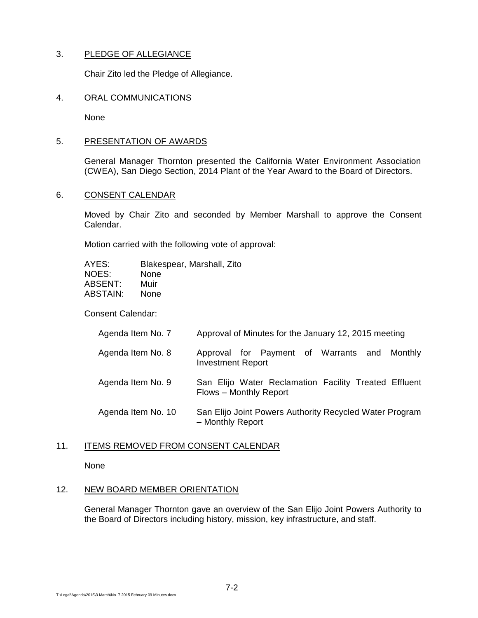# 3. PLEDGE OF ALLEGIANCE

Chair Zito led the Pledge of Allegiance.

### 4. ORAL COMMUNICATIONS

None

### 5. PRESENTATION OF AWARDS

General Manager Thornton presented the California Water Environment Association (CWEA), San Diego Section, 2014 Plant of the Year Award to the Board of Directors.

## 6. CONSENT CALENDAR

Moved by Chair Zito and seconded by Member Marshall to approve the Consent Calendar.

Motion carried with the following vote of approval:

| AYES:           | Blakespear, Marshall, Zito |
|-----------------|----------------------------|
| NOES:           | None                       |
| ABSENT:         | Muir                       |
| <b>ABSTAIN:</b> | None                       |

Consent Calendar:

| Agenda Item No. 7 | Approval of Minutes for the January 12, 2015 meeting |  |
|-------------------|------------------------------------------------------|--|

- Agenda Item No. 8 Approval for Payment of Warrants and Monthly Investment Report
- Agenda Item No. 9 San Elijo Water Reclamation Facility Treated Effluent Flows – Monthly Report
- Agenda Item No. 10 San Elijo Joint Powers Authority Recycled Water Program – Monthly Report

#### 11. ITEMS REMOVED FROM CONSENT CALENDAR

None

### 12. NEW BOARD MEMBER ORIENTATION

General Manager Thornton gave an overview of the San Elijo Joint Powers Authority to the Board of Directors including history, mission, key infrastructure, and staff.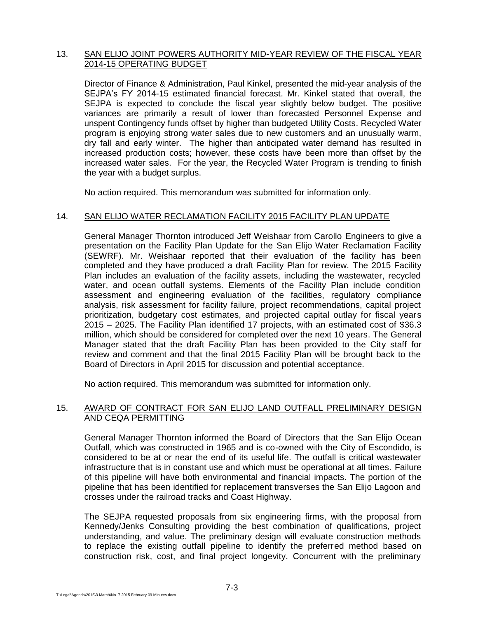## 13. SAN ELIJO JOINT POWERS AUTHORITY MID-YEAR REVIEW OF THE FISCAL YEAR 2014-15 OPERATING BUDGET

Director of Finance & Administration, Paul Kinkel, presented the mid-year analysis of the SEJPA's FY 2014-15 estimated financial forecast. Mr. Kinkel stated that overall, the SEJPA is expected to conclude the fiscal year slightly below budget. The positive variances are primarily a result of lower than forecasted Personnel Expense and unspent Contingency funds offset by higher than budgeted Utility Costs. Recycled Water program is enjoying strong water sales due to new customers and an unusually warm, dry fall and early winter. The higher than anticipated water demand has resulted in increased production costs; however, these costs have been more than offset by the increased water sales. For the year, the Recycled Water Program is trending to finish the year with a budget surplus.

No action required. This memorandum was submitted for information only.

# 14. SAN ELIJO WATER RECLAMATION FACILITY 2015 FACILITY PLAN UPDATE

General Manager Thornton introduced Jeff Weishaar from Carollo Engineers to give a presentation on the Facility Plan Update for the San Elijo Water Reclamation Facility (SEWRF). Mr. Weishaar reported that their evaluation of the facility has been completed and they have produced a draft Facility Plan for review. The 2015 Facility Plan includes an evaluation of the facility assets, including the wastewater, recycled water, and ocean outfall systems. Elements of the Facility Plan include condition assessment and engineering evaluation of the facilities, regulatory compliance analysis, risk assessment for facility failure, project recommendations, capital project prioritization, budgetary cost estimates, and projected capital outlay for fiscal years 2015 – 2025. The Facility Plan identified 17 projects, with an estimated cost of \$36.3 million, which should be considered for completed over the next 10 years. The General Manager stated that the draft Facility Plan has been provided to the City staff for review and comment and that the final 2015 Facility Plan will be brought back to the Board of Directors in April 2015 for discussion and potential acceptance.

No action required. This memorandum was submitted for information only.

## 15. AWARD OF CONTRACT FOR SAN ELIJO LAND OUTFALL PRELIMINARY DESIGN AND CEQA PERMITTING

General Manager Thornton informed the Board of Directors that the San Elijo Ocean Outfall, which was constructed in 1965 and is co-owned with the City of Escondido, is considered to be at or near the end of its useful life. The outfall is critical wastewater infrastructure that is in constant use and which must be operational at all times. Failure of this pipeline will have both environmental and financial impacts. The portion of the pipeline that has been identified for replacement transverses the San Elijo Lagoon and crosses under the railroad tracks and Coast Highway.

The SEJPA requested proposals from six engineering firms, with the proposal from Kennedy/Jenks Consulting providing the best combination of qualifications, project understanding, and value. The preliminary design will evaluate construction methods to replace the existing outfall pipeline to identify the preferred method based on construction risk, cost, and final project longevity. Concurrent with the preliminary